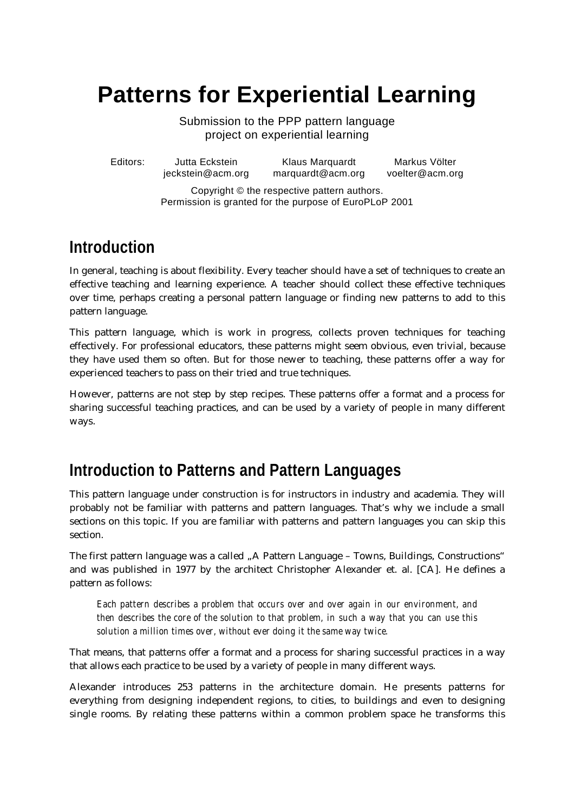# **Patterns for Experiential Learning**

Submission to the PPP pattern language project on experiential learning

Editors: Jutta Eckstein Klaus Marquardt Markus Völter jeckstein@acm.org marquardt@acm.org voelter@acm.org

Copyright © the respective pattern authors. Permission is granted for the purpose of EuroPLoP 2001

## **Introduction**

In general, teaching is about flexibility. Every teacher should have a set of techniques to create an effective teaching and learning experience. A teacher should collect these effective techniques over time, perhaps creating a personal pattern language or finding new patterns to add to this pattern language.

This pattern language, which is work in progress, collects proven techniques for teaching effectively. For professional educators, these patterns might seem obvious, even trivial, because they have used them so often. But for those newer to teaching, these patterns offer a way for experienced teachers to pass on their tried and true techniques.

However, patterns are not step by step recipes. These patterns offer a format and a process for sharing successful teaching practices, and can be used by a variety of people in many different ways.

## **Introduction to Patterns and Pattern Languages**

This pattern language under construction is for instructors in industry and academia. They will probably not be familiar with patterns and pattern languages. That's why we include a small sections on this topic. If you are familiar with patterns and pattern languages you can skip this section.

The first pattern language was a called "A Pattern Language – Towns, Buildings, Constructions" and was published in 1977 by the architect Christopher Alexander et. al. [CA]. He defines a pattern as follows:

*Each pattern describes a problem that occurs over and over again in our environment, and then describes the core of the solution to that problem, in such a way that you can use this solution a million times over, without ever doing it the same way twice.*

That means, that patterns offer a format and a process for sharing successful practices in a way that allows each practice to be used by a variety of people in many different ways.

Alexander introduces 253 patterns in the architecture domain. He presents patterns for everything from designing independent regions, to cities, to buildings and even to designing single rooms. By relating these patterns within a common problem space he transforms this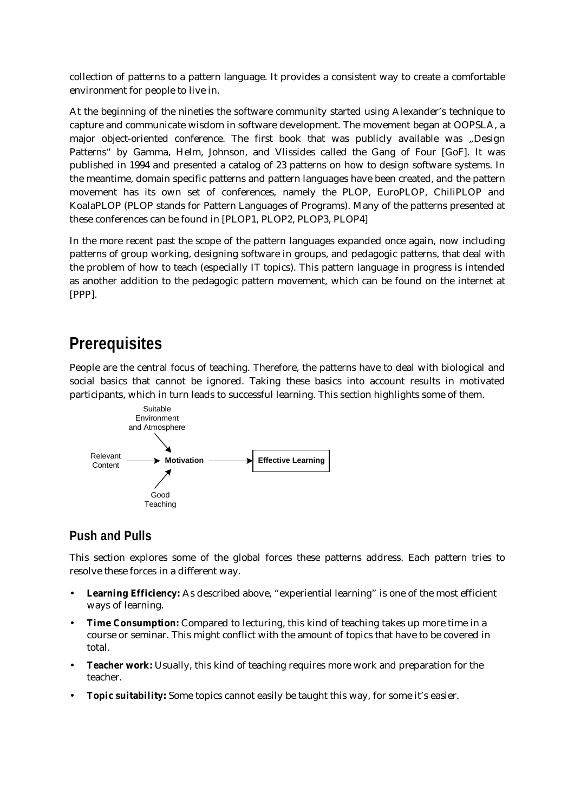collection of patterns to a pattern language. It provides a consistent way to create a comfortable environment for people to live in.

At the beginning of the nineties the software community started using Alexander's technique to capture and communicate wisdom in software development. The movement began at OOPSLA, a major object-oriented conference. The first book that was publicly available was "Design Patterns" by Gamma, Helm, Johnson, and Vlissides called the Gang of Four [GoF]. It was published in 1994 and presented a catalog of 23 patterns on how to design software systems. In the meantime, domain specific patterns and pattern languages have been created, and the pattern movement has its own set of conferences, namely the PLOP, EuroPLOP, ChiliPLOP and KoalaPLOP (PLOP stands for Pattern Languages of Programs). Many of the patterns presented at these conferences can be found in [PLOP1, PLOP2, PLOP3, PLOP4]

In the more recent past the scope of the pattern languages expanded once again, now including patterns of group working, designing software in groups, and pedagogic patterns, that deal with the problem of how to teach (especially IT topics). This pattern language in progress is intended as another addition to the pedagogic pattern movement, which can be found on the internet at [PPP].

## **Prerequisites**

People are the central focus of teaching. Therefore, the patterns have to deal with biological and social basics that cannot be ignored. Taking these basics into account results in motivated participants, which in turn leads to successful learning. This section highlights some of them.



## **Push and Pulls**

This section explores some of the global forces these patterns address. Each pattern tries to resolve these forces in a different way.

- **Learning Efficiency:** As described above, "experiential learning" is one of the most efficient ways of learning.
- **Time Consumption:** Compared to lecturing, this kind of teaching takes up more time in a course or seminar. This might conflict with the amount of topics that have to be covered in total.
- **Teacher work:** Usually, this kind of teaching requires more work and preparation for the teacher.
- **Topic suitability:** Some topics cannot easily be taught this way, for some it's easier.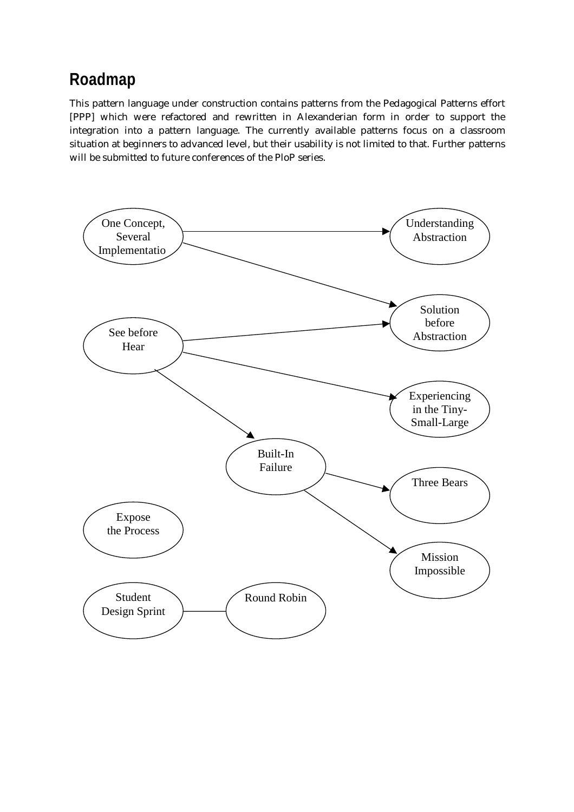## **Roadmap**

This pattern language under construction contains patterns from the Pedagogical Patterns effort [PPP] which were refactored and rewritten in Alexanderian form in order to support the integration into a pattern language. The currently available patterns focus on a classroom situation at beginners to advanced level, but their usability is not limited to that. Further patterns will be submitted to future conferences of the PloP series.

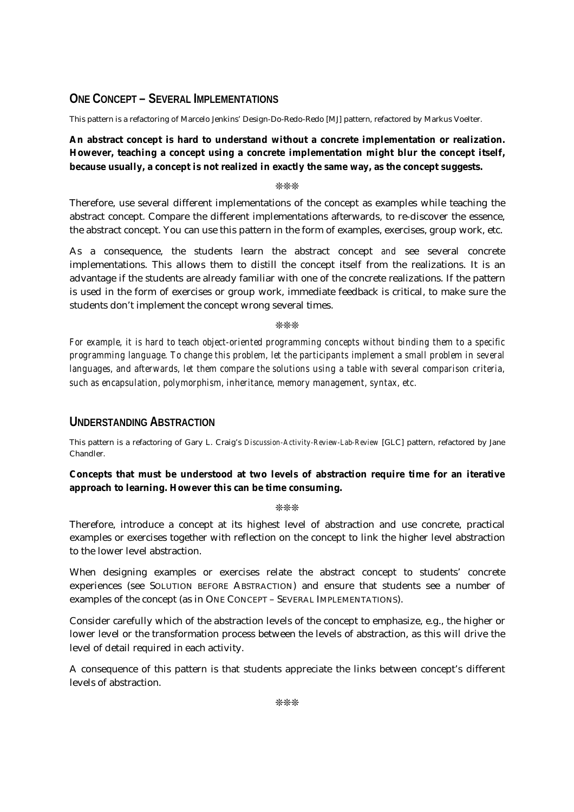## **ONE CONCEPT – SEVERAL IMPLEMENTATIONS**

This pattern is a refactoring of Marcelo Jenkins' Design-Do-Redo-Redo [MJ] pattern, refactored by Markus Voelter.

## **An abstract concept is hard to understand without a concrete implementation or realization. However, teaching a concept using a concrete implementation might blur the concept itself, because usually, a concept is not realized in exactly the same way, as the concept suggests.**

❊❊❊

Therefore, use several different implementations of the concept as examples while teaching the abstract concept. Compare the different implementations afterwards, to re-discover the essence, the abstract concept. You can use this pattern in the form of examples, exercises, group work, etc.

As a consequence, the students learn the abstract concept *and* see several concrete implementations. This allows them to distill the concept itself from the realizations. It is an advantage if the students are already familiar with one of the concrete realizations. If the pattern is used in the form of exercises or group work, immediate feedback is critical, to make sure the students don't implement the concept wrong several times.

❊❊❊

*For example, it is hard to teach object-oriented programming concepts without binding them to a specific programming language. To change this problem, let the participants implement a small problem in several languages, and afterwards, let them compare the solutions using a table with several comparison criteria, such as encapsulation, polymorphism, inheritance, memory management, syntax, etc.*

## **UNDERSTANDING ABSTRACTION**

This pattern is a refactoring of Gary L. Craig's *Discussion-Activity-Review-Lab-Review* [GLC] pattern, refactored by Jane Chandler.

### **Concepts that must be understood at two levels of abstraction require time for an iterative approach to learning. However this can be time consuming.**

❊❊❊

Therefore, introduce a concept at its highest level of abstraction and use concrete, practical examples or exercises together with reflection on the concept to link the higher level abstraction to the lower level abstraction.

When designing examples or exercises relate the abstract concept to students' concrete experiences (see SOLUTION BEFORE ABSTRACTION) and ensure that students see a number of examples of the concept (as in ONE CONCEPT – SEVERAL IMPLEMENTATIONS).

Consider carefully which of the abstraction levels of the concept to emphasize, e.g., the higher or lower level or the transformation process between the levels of abstraction, as this will drive the level of detail required in each activity.

A consequence of this pattern is that students appreciate the links between concept's different levels of abstraction.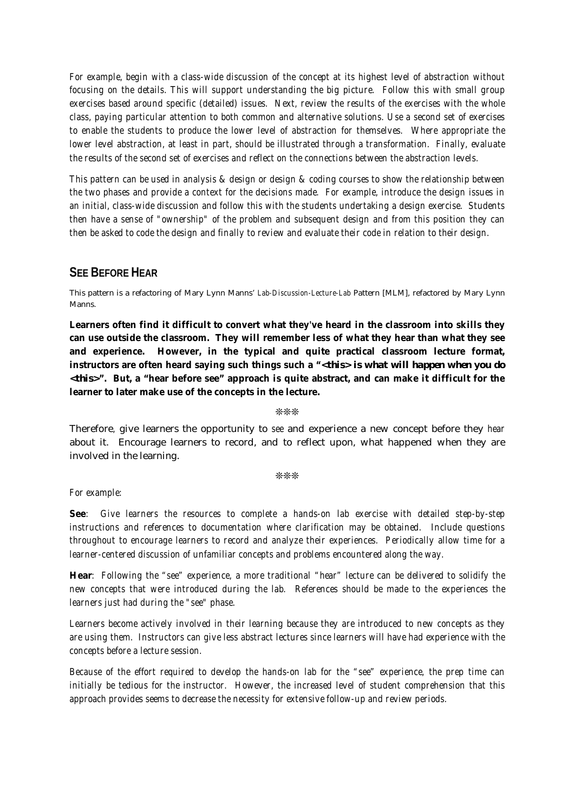*For example, begin with a class-wide discussion of the concept at its highest level of abstraction without focusing on the details. This will support understanding the big picture. Follow this with small group exercises based around specific (detailed) issues. Next, review the results of the exercises with the whole class, paying particular attention to both common and alternative solutions. Use a second set of exercises to enable the students to produce the lower level of abstraction for themselves. Where appropriate the lower level abstraction, at least in part, should be illustrated through a transformation. Finally, evaluate the results of the second set of exercises and reflect on the connections between the abstraction levels.*

*This pattern can be used in analysis & design or design & coding courses to show the relationship between the two phases and provide a context for the decisions made. For example, introduce the design issues in an initial, class-wide discussion and follow this with the students undertaking a design exercise. Students then have a sense of "ownership" of the problem and subsequent design and from this position they can then be asked to code the design and finally to review and evaluate their code in relation to their design.*

### **SEE BEFORE HEAR**

This pattern is a refactoring of Mary Lynn Manns' *Lab-Discussion-Lecture-Lab* Pattern [MLM], refactored by Mary Lynn Manns.

**Learners often find it difficult to convert what they've heard in the classroom into skills they can use outside the classroom. They will remember less of what they hear than what they see and experience. However, in the typical and quite practical classroom lecture format, instructors are often heard saying such things such a "***<this> is what will happen when you do <this>***". But, a "hear before see" approach is quite abstract, and can make it difficult for the learner to later make use of the concepts in the lecture.**

❊❊❊

Therefore*,* give learners the opportunity to *see* and experience a new concept before they *hear* about it. Encourage learners to record, and to reflect upon, what happened when they are involved in the learning.

❊❊❊

#### *For example:*

**See***: Give learners the resources to complete a hands-on lab exercise with detailed step-by-step instructions and references to documentation where clarification may be obtained. Include questions throughout to encourage learners to record and analyze their experiences. Periodically allow time for a learner-centered discussion of unfamiliar concepts and problems encountered along the way.*

**Hear***: Following the "see" experience, a more traditional "hear" lecture can be delivered to solidify the new concepts that were introduced during the lab. References should be made to the experiences the learners just had during the "see" phase.*

*Learners become actively involved in their learning because they are introduced to new concepts as they are using them. Instructors can give less abstract lectures since learners will have had experience with the concepts before a lecture session.*

*Because of the effort required to develop the hands-on lab for the "see" experience, the prep time can initially be tedious for the instructor. However, the increased level of student comprehension that this approach provides seems to decrease the necessity for extensive follow-up and review periods.*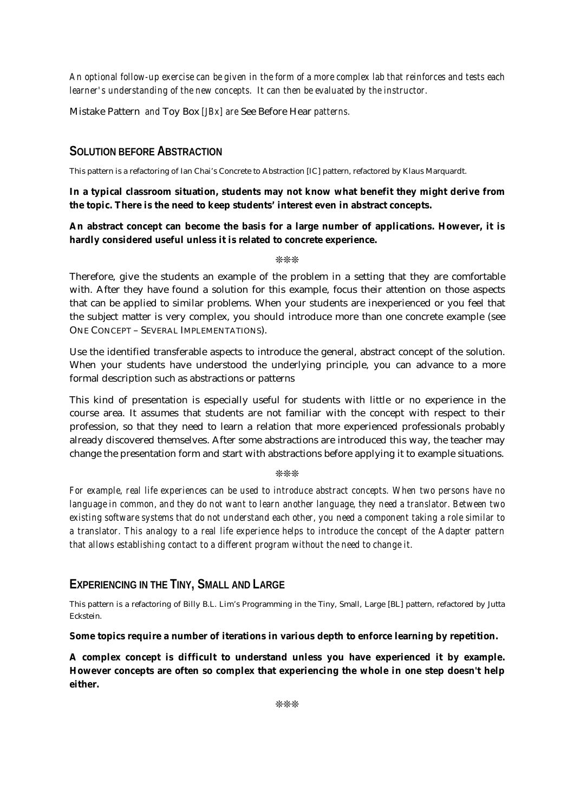*An optional follow-up exercise can be given in the form of a more complex lab that reinforces and tests each learner's understanding of the new concepts. It can then be evaluated by the instructor.*

Mistake Pattern *and* Toy Box *[JBx] are* See Before Hear *patterns.*

### **SOLUTION BEFORE ABSTRACTION**

This pattern is a refactoring of Ian Chai's Concrete to Abstraction [IC] pattern, refactored by Klaus Marquardt.

#### **In a typical classroom situation, students may not know what benefit they might derive from the topic. There is the need to keep students' interest even in abstract concepts.**

#### **An abstract concept can become the basis for a large number of applications. However, it is hardly considered useful unless it is related to concrete experience.**

❊❊❊

Therefore, give the students an example of the problem in a setting that they are comfortable with. After they have found a solution for this example, focus their attention on those aspects that can be applied to similar problems. When your students are inexperienced or you feel that the subject matter is very complex, you should introduce more than one concrete example (see ONE CONCEPT – SEVERAL IMPLEMENTATIONS).

Use the identified transferable aspects to introduce the general, abstract concept of the solution. When your students have understood the underlying principle, you can advance to a more formal description such as abstractions or patterns

This kind of presentation is especially useful for students with little or no experience in the course area. It assumes that students are not familiar with the concept with respect to their profession, so that they need to learn a relation that more experienced professionals probably already discovered themselves. After some abstractions are introduced this way, the teacher may change the presentation form and start with abstractions before applying it to example situations.

#### ❊❊❊

*For example, real life experiences can be used to introduce abstract concepts. When two persons have no language in common, and they do not want to learn another language, they need a translator. Between two existing software systems that do not understand each other, you need a component taking a role similar to a translator. This analogy to a real life experience helps to introduce the concept of the Adapter pattern that allows establishing contact to a different program without the need to change it.*

### **EXPERIENCING IN THE TINY, SMALL AND LARGE**

This pattern is a refactoring of Billy B.L. Lim's Programming in the Tiny, Small, Large [BL] pattern, refactored by Jutta Eckstein.

#### **Some topics require a number of iterations in various depth to enforce learning by repetition.**

**A complex concept is difficult to understand unless you have experienced it by example. However concepts are often so complex that experiencing the whole in one step doesn't help either.**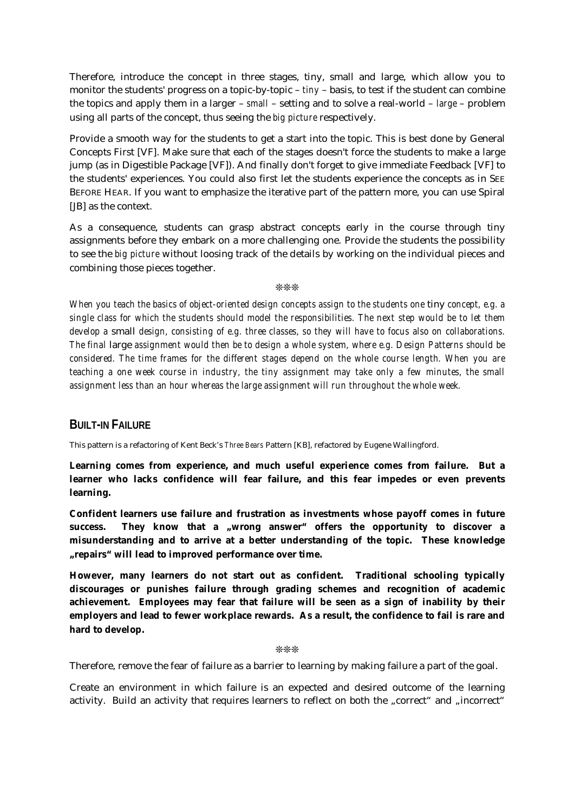Therefore, introduce the concept in three stages, tiny, small and large, which allow you to monitor the students' progress on a topic-by-topic – *tiny* – basis, to test if the student can combine the topics and apply them in a larger – *small* – setting and to solve a real-world – *large* – problem using all parts of the concept, thus seeing the *big picture* respectively.

Provide a smooth way for the students to get a start into the topic. This is best done by General Concepts First [VF]. Make sure that each of the stages doesn't force the students to make a large jump (as in Digestible Package [VF]). And finally don't forget to give immediate Feedback [VF] to the students' experiences. You could also first let the students experience the concepts as in SEE BEFORE HEAR. If you want to emphasize the iterative part of the pattern more, you can use Spiral [JB] as the context.

As a consequence, students can grasp abstract concepts early in the course through tiny assignments before they embark on a more challenging one. Provide the students the possibility to see the *big picture* without loosing track of the details by working on the individual pieces and combining those pieces together.

❊❊❊

*When you teach the basics of object-oriented design concepts assign to the students one* tiny *concept, e.g. a single class for which the students should model the responsibilities. The next step would be to let them develop a* small *design, consisting of e.g. three classes, so they will have to focus also on collaborations. The final* large *assignment would then be to design a whole system, where e.g. Design Patterns should be considered. The time frames for the different stages depend on the whole course length. When you are teaching a one week course in industry, the tiny assignment may take only a few minutes, the small assignment less than an hour whereas the large assignment will run throughout the whole week.*

## **BUILT-IN FAILURE**

This pattern is a refactoring of Kent Beck's *Three Bears* Pattern [KB], refactored by Eugene Wallingford.

**Learning comes from experience, and much useful experience comes from failure. But a learner who lacks confidence will fear failure, and this fear impedes or even prevents learning.**

**Confident learners use failure and frustration as investments whose payoff comes in future** success. They know that a "wrong answer" offers the opportunity to discover a **misunderstanding and to arrive at a better understanding of the topic. These knowledge "repairs" will lead to improved performance over time.**

**However, many learners do not start out as confident. Traditional schooling typically discourages or punishes failure through grading schemes and recognition of academic achievement. Employees may fear that failure will be seen as a sign of inability by their employers and lead to fewer workplace rewards. As a result, the confidence to fail is rare and hard to develop.**

❊❊❊

Therefore, remove the fear of failure as a barrier to learning by making failure a part of the goal.

Create an environment in which failure is an expected and desired outcome of the learning activity. Build an activity that requires learners to reflect on both the "correct" and "incorrect"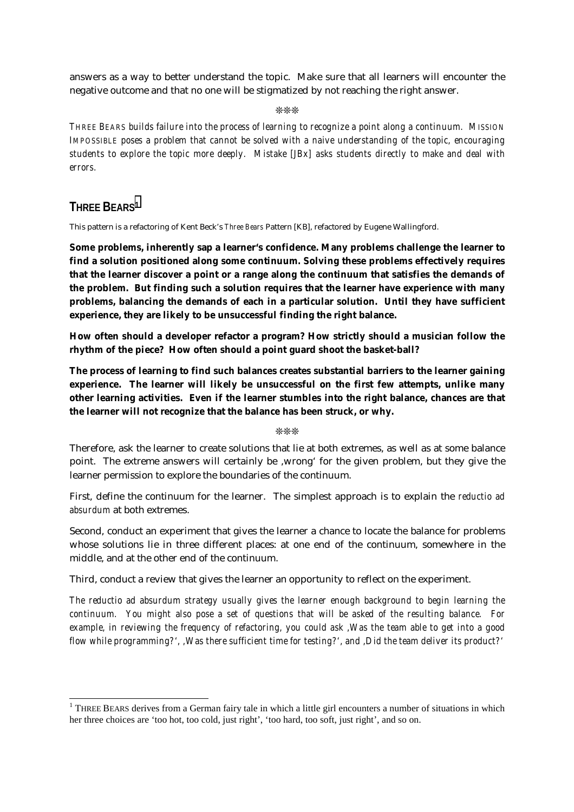answers as a way to better understand the topic. Make sure that all learners will encounter the negative outcome and that no one will be stigmatized by not reaching the right answer.

❊❊❊

*THREE BEARS builds failure into the process of learning to recognize a point along a continuum. MISSION IMPOSSIBLE poses a problem that cannot be solved with a naive understanding of the topic, encouraging students to explore the topic more deeply. Mistake [JBx] asks students directly to make and deal with errors.*

## **THREE BEARS1**

This pattern is a refactoring of Kent Beck's *Three Bears* Pattern [KB], refactored by Eugene Wallingford.

**Some problems, inherently sap a learner's confidence. Many problems challenge the learner to find a solution positioned along some continuum. Solving these problems effectively requires that the learner discover a point or a range along the continuum that satisfies the demands of the problem. But finding such a solution requires that the learner have experience with many problems, balancing the demands of each in a particular solution. Until they have sufficient experience, they are likely to be unsuccessful finding the right balance.**

**How often should a developer refactor a program? How strictly should a musician follow the rhythm of the piece? How often should a point guard shoot the basket-ball?**

**The process of learning to find such balances creates substantial barriers to the learner gaining experience. The learner will likely be unsuccessful on the first few attempts, unlike many other learning activities. Even if the learner stumbles into the right balance, chances are that the learner will not recognize that the balance has been struck, or why.**

❊❊❊

Therefore, ask the learner to create solutions that lie at both extremes, as well as at some balance point. The extreme answers will certainly be ,wrong' for the given problem, but they give the learner permission to explore the boundaries of the continuum.

First, define the continuum for the learner. The simplest approach is to explain the *reductio ad absurdum* at both extremes.

Second, conduct an experiment that gives the learner a chance to locate the balance for problems whose solutions lie in three different places: at one end of the continuum, somewhere in the middle, and at the other end of the continuum.

Third, conduct a review that gives the learner an opportunity to reflect on the experiment.

*The reductio ad absurdum strategy usually gives the learner enough background to begin learning the continuum. You might also pose a set of questions that will be asked of the resulting balance. For example, in reviewing the frequency of refactoring, you could ask 'Was the team able to get into a good flow while programming?', 'Was there sufficient time for testing?', and 'Did the team deliver its product?'*

<sup>&</sup>lt;sup>1</sup> THREE BEARS derives from a German fairy tale in which a little girl encounters a number of situations in which her three choices are 'too hot, too cold, just right', 'too hard, too soft, just right', and so on.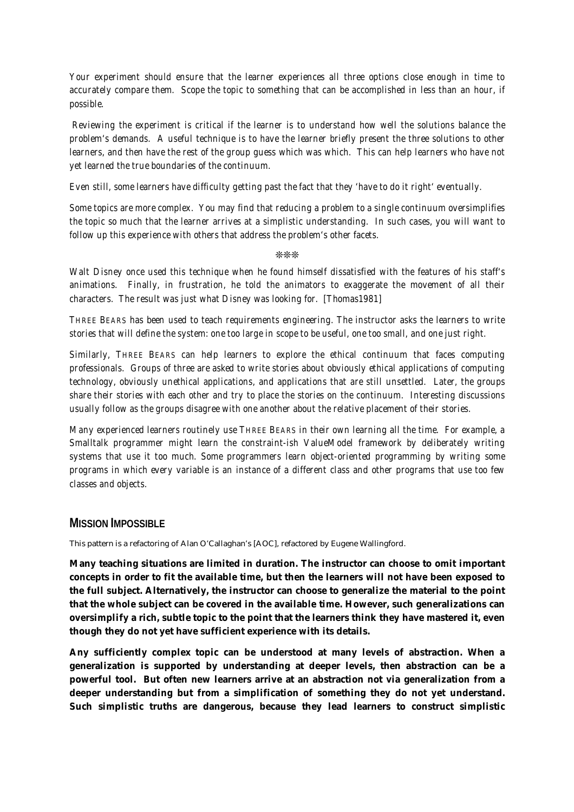*Your experiment should ensure that the learner experiences all three options close enough in time to accurately compare them. Scope the topic to something that can be accomplished in less than an hour, if possible.*

 *Reviewing the experiment is critical if the learner is to understand how well the solutions balance the problem's demands. A useful technique is to have the learner briefly present the three solutions to other learners, and then have the rest of the group guess which was which. This can help learners who have not yet learned the true boundaries of the continuum.*

*Even still, some learners have difficulty getting past the fact that they 'have to do it right' eventually.*

*Some topics are more complex. You may find that reducing a problem to a single continuum oversimplifies the topic so much that the learner arrives at a simplistic understanding. In such cases, you will want to follow up this experience with others that address the problem's other facets.*

❊❊❊

*Walt Disney once used this technique when he found himself dissatisfied with the features of his staff's animations. Finally, in frustration, he told the animators to exaggerate the movement of all their characters. The result was just what Disney was looking for. [Thomas1981]*

*THREE BEARS has been used to teach requirements engineering. The instructor asks the learners to write stories that will define the system: one too large in scope to be useful, one too small, and one just right.*

*Similarly, THREE BEARS can help learners to explore the ethical continuum that faces computing professionals. Groups of three are asked to write stories about obviously ethical applications of computing technology, obviously unethical applications, and applications that are still unsettled. Later, the groups share their stories with each other and try to place the stories on the continuum. Interesting discussions usually follow as the groups disagree with one another about the relative placement of their stories.*

*Many experienced learners routinely use THREE BEARS in their own learning all the time. For example, a Smalltalk programmer might learn the constraint-ish ValueModel framework by deliberately writing systems that use it too much. Some programmers learn object-oriented programming by writing some programs in which every variable is an instance of a different class and other programs that use too few classes and objects.*

### **MISSION IMPOSSIBLE**

This pattern is a refactoring of Alan O'Callaghan's [AOC], refactored by Eugene Wallingford.

**Many teaching situations are limited in duration. The instructor can choose to omit important concepts in order to fit the available time, but then the learners will not have been exposed to the full subject. Alternatively, the instructor can choose to generalize the material to the point that the whole subject can be covered in the available time. However, such generalizations can oversimplify a rich, subtle topic to the point that the learners think they have mastered it, even though they do not yet have sufficient experience with its details.**

**Any sufficiently complex topic can be understood at many levels of abstraction. When a generalization is supported by understanding at deeper levels, then abstraction can be a powerful tool. But often new learners arrive at an abstraction not via generalization from a deeper understanding but from a simplification of something they do not yet understand. Such simplistic truths are dangerous, because they lead learners to construct simplistic**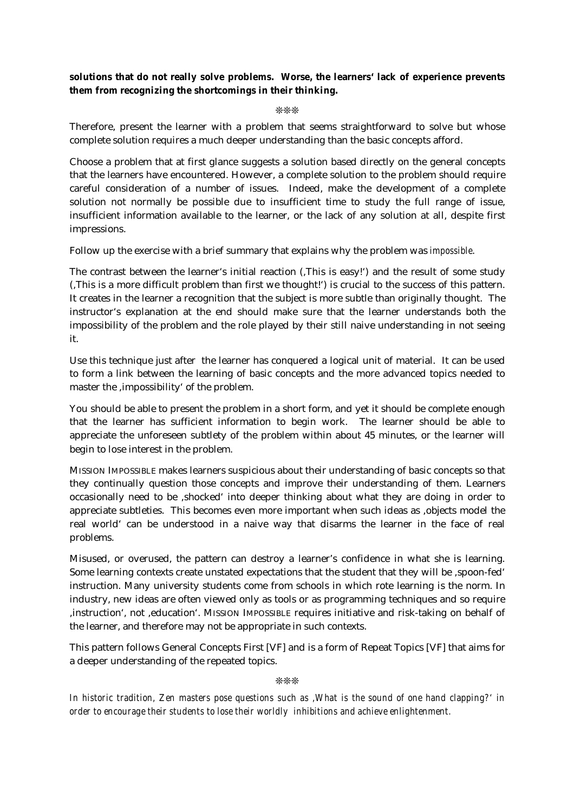## **solutions that do not really solve problems. Worse, the learners' lack of experience prevents them from recognizing the shortcomings in their thinking.**

#### ❊❊❊

Therefore, present the learner with a problem that seems straightforward to solve but whose complete solution requires a much deeper understanding than the basic concepts afford.

Choose a problem that at first glance suggests a solution based directly on the general concepts that the learners have encountered. However, a complete solution to the problem should require careful consideration of a number of issues. Indeed, make the development of a complete solution not normally be possible due to insufficient time to study the full range of issue, insufficient information available to the learner, or the lack of any solution at all, despite first impressions.

Follow up the exercise with a brief summary that explains why the problem was *impossible*.

The contrast between the learner's initial reaction (,This is easy!') and the result of some study ('This is a more difficult problem than first we thought!') is crucial to the success of this pattern. It creates in the learner a recognition that the subject is more subtle than originally thought. The instructor's explanation at the end should make sure that the learner understands both the impossibility of the problem and the role played by their still naive understanding in not seeing it.

Use this technique just after the learner has conquered a logical unit of material. It can be used to form a link between the learning of basic concepts and the more advanced topics needed to master the 'impossibility' of the problem.

You should be able to present the problem in a short form, and yet it should be complete enough that the learner has sufficient information to begin work. The learner should be able to appreciate the unforeseen subtlety of the problem within about 45 minutes, or the learner will begin to lose interest in the problem.

MISSION IMPOSSIBLE makes learners suspicious about their understanding of basic concepts so that they continually question those concepts and improve their understanding of them. Learners occasionally need to be 'shocked' into deeper thinking about what they are doing in order to appreciate subtleties. This becomes even more important when such ideas as ,objects model the real world' can be understood in a naive way that disarms the learner in the face of real problems.

Misused, or overused, the pattern can destroy a learner's confidence in what she is learning. Some learning contexts create unstated expectations that the student that they will be 'spoon-fed' instruction. Many university students come from schools in which rote learning is the norm. In industry, new ideas are often viewed only as tools or as programming techniques and so require 'instruction', not 'education'. MISSION IMPOSSIBLE requires initiative and risk-taking on behalf of the learner, and therefore may not be appropriate in such contexts.

This pattern follows General Concepts First [VF] and is a form of Repeat Topics [VF] that aims for a deeper understanding of the repeated topics.

#### ❊❊❊

*In historic tradition, Zen masters pose questions such as 'What is the sound of one hand clapping?' in order to encourage their students to lose their worldly inhibitions and achieve enlightenment.*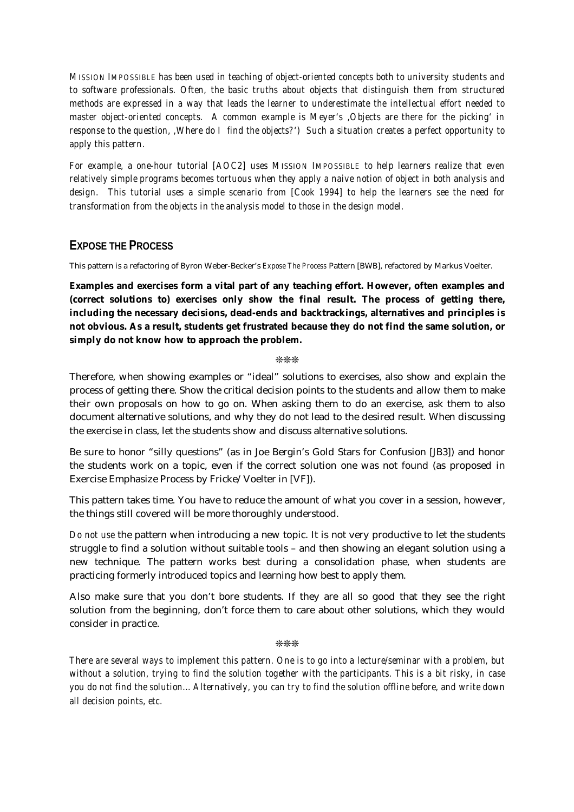*MISSION IMPOSSIBLE has been used in teaching of object-oriented concepts both to university students and to software professionals. Often, the basic truths about objects that distinguish them from structured methods are expressed in a way that leads the learner to underestimate the intellectual effort needed to master object-oriented concepts. A common example is Meyer's 'Objects are there for the picking' in response to the question, 'Where do I find the objects?') Such a situation creates a perfect opportunity to apply this pattern.*

*For example, a one-hour tutorial [AOC2] uses MISSION IMPOSSIBLE to help learners realize that even relatively simple programs becomes tortuous when they apply a naive notion of object in both analysis and design. This tutorial uses a simple scenario from [Cook 1994] to help the learners see the need for transformation from the objects in the analysis model to those in the design model.*

## **EXPOSE THE PROCESS**

This pattern is a refactoring of Byron Weber-Becker's *Expose The Process* Pattern [BWB], refactored by Markus Voelter.

**Examples and exercises form a vital part of any teaching effort. However, often examples and (correct solutions to) exercises only show the final result. The process of getting there, including the necessary decisions, dead-ends and backtrackings, alternatives and principles is not obvious. As a result, students get frustrated because they do not find the same solution, or simply do not know how to approach the problem.**

#### ❊❊❊

Therefore, when showing examples or "ideal" solutions to exercises, also show and explain the process of getting there. Show the critical decision points to the students and allow them to make their own proposals on how to go on. When asking them to do an exercise, ask them to also document alternative solutions, and why they do not lead to the desired result. When discussing the exercise in class, let the students show and discuss alternative solutions.

Be sure to honor "silly questions" (as in Joe Bergin's Gold Stars for Confusion [JB3]) and honor the students work on a topic, even if the correct solution one was not found (as proposed in Exercise Emphasize Process by Fricke/Voelter in [VF]).

This pattern takes time. You have to reduce the amount of what you cover in a session, however, the things still covered will be more thoroughly understood.

*Do not use* the pattern when introducing a new topic. It is not very productive to let the students struggle to find a solution without suitable tools – and then showing an elegant solution using a new technique. The pattern works best during a consolidation phase, when students are practicing formerly introduced topics and learning how best to apply them.

Also make sure that you don't bore students. If they are all so good that they see the right solution from the beginning, don't force them to care about other solutions, which they would consider in practice.

❊❊❊

*There are several ways to implement this pattern. One is to go into a lecture/seminar with a problem, but without a solution, trying to find the solution together with the participants. This is a bit risky, in case you do not find the solution... Alternatively, you can try to find the solution offline before, and write down all decision points, etc.*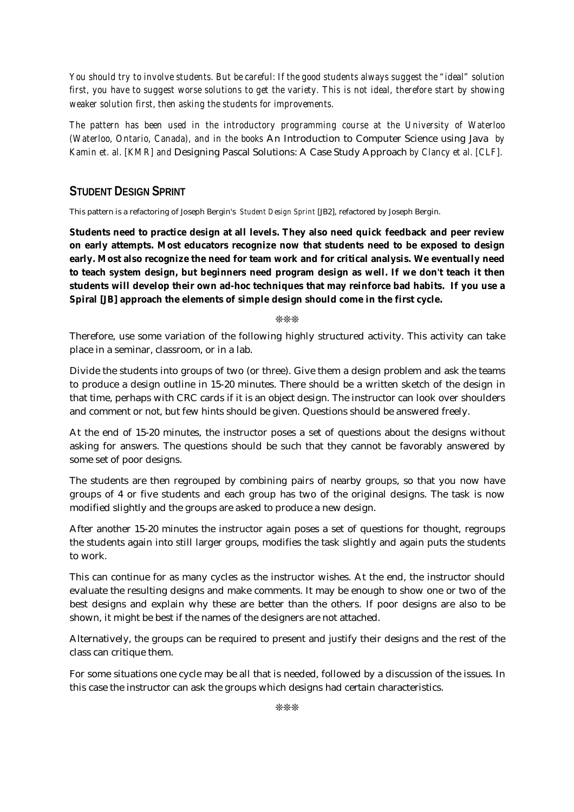*You should try to involve students. But be careful: If the good students always suggest the "ideal" solution first, you have to suggest worse solutions to get the variety. This is not ideal, therefore start by showing weaker solution first, then asking the students for improvements.*

*The pattern has been used in the introductory programming course at the University of Waterloo (Waterloo, Ontario, Canada), and in the books* An Introduction to Computer Science using Java *by Kamin et. al. [KMR] and* Designing Pascal Solutions: A Case Study Approach *by Clancy et al. [CLF].*

## **STUDENT DESIGN SPRINT**

This pattern is a refactoring of Joseph Bergin's *Student Design Sprint* [JB2], refactored by Joseph Bergin.

**Students need to practice design at all levels. They also need quick feedback and peer review on early attempts. Most educators recognize now that students need to be exposed to design early. Most also recognize the need for team work and for critical analysis. We eventually need to teach system design, but beginners need program design as well. If we don't teach it then students will develop their own ad-hoc techniques that may reinforce bad habits. If you use a Spiral [JB] approach the elements of simple design should come in the first cycle.**

❊❊❊

Therefore, use some variation of the following highly structured activity. This activity can take place in a seminar, classroom, or in a lab.

Divide the students into groups of two (or three). Give them a design problem and ask the teams to produce a design outline in 15-20 minutes. There should be a written sketch of the design in that time, perhaps with CRC cards if it is an object design. The instructor can look over shoulders and comment or not, but few hints should be given. Questions should be answered freely.

At the end of 15-20 minutes, the instructor poses a set of questions about the designs without asking for answers. The questions should be such that they cannot be favorably answered by some set of poor designs.

The students are then regrouped by combining pairs of nearby groups, so that you now have groups of 4 or five students and each group has two of the original designs. The task is now modified slightly and the groups are asked to produce a new design.

After another 15-20 minutes the instructor again poses a set of questions for thought, regroups the students again into still larger groups, modifies the task slightly and again puts the students to work.

This can continue for as many cycles as the instructor wishes. At the end, the instructor should evaluate the resulting designs and make comments. It may be enough to show one or two of the best designs and explain why these are better than the others. If poor designs are also to be shown, it might be best if the names of the designers are not attached.

Alternatively, the groups can be required to present and justify their designs and the rest of the class can critique them.

For some situations one cycle may be all that is needed, followed by a discussion of the issues. In this case the instructor can ask the groups which designs had certain characteristics.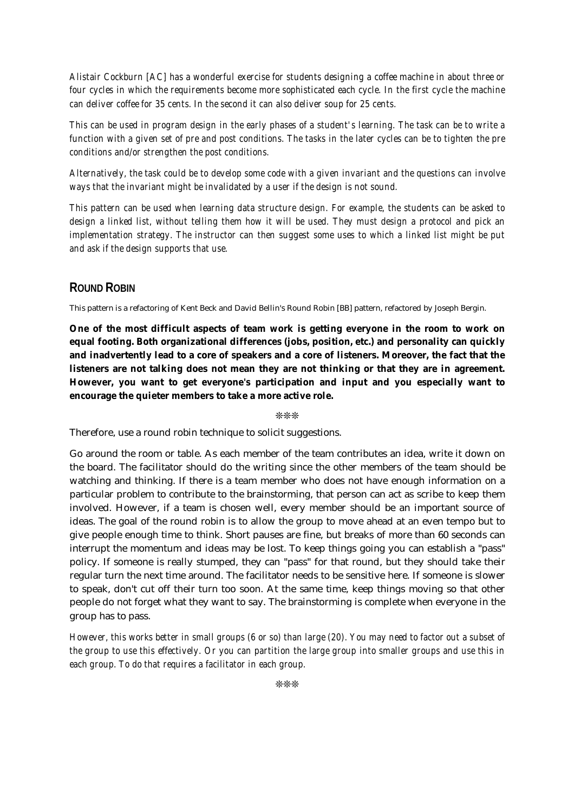*Alistair Cockburn [AC] has a wonderful exercise for students designing a coffee machine in about three or four cycles in which the requirements become more sophisticated each cycle. In the first cycle the machine can deliver coffee for 35 cents. In the second it can also deliver soup for 25 cents.*

*This can be used in program design in the early phases of a student's learning. The task can be to write a function with a given set of pre and post conditions. The tasks in the later cycles can be to tighten the pre conditions and/or strengthen the post conditions.*

*Alternatively, the task could be to develop some code with a given invariant and the questions can involve ways that the invariant might be invalidated by a user if the design is not sound.*

*This pattern can be used when learning data structure design. For example, the students can be asked to design a linked list, without telling them how it will be used. They must design a protocol and pick an implementation strategy. The instructor can then suggest some uses to which a linked list might be put and ask if the design supports that use.*

## **ROUND ROBIN**

This pattern is a refactoring of Kent Beck and David Bellin's Round Robin [BB] pattern, refactored by Joseph Bergin.

**One of the most difficult aspects of team work is getting everyone in the room to work on equal footing. Both organizational differences (jobs, position, etc.) and personality can quickly and inadvertently lead to a core of speakers and a core of listeners. Moreover, the fact that the listeners are not talking does not mean they are not thinking or that they are in agreement. However, you want to get everyone's participation and input and you especially want to encourage the quieter members to take a more active role.**

❊❊❊

Therefore, use a round robin technique to solicit suggestions.

Go around the room or table. As each member of the team contributes an idea, write it down on the board. The facilitator should do the writing since the other members of the team should be watching and thinking. If there is a team member who does not have enough information on a particular problem to contribute to the brainstorming, that person can act as scribe to keep them involved. However, if a team is chosen well, every member should be an important source of ideas. The goal of the round robin is to allow the group to move ahead at an even tempo but to give people enough time to think. Short pauses are fine, but breaks of more than 60 seconds can interrupt the momentum and ideas may be lost. To keep things going you can establish a "pass" policy. If someone is really stumped, they can "pass" for that round, but they should take their regular turn the next time around. The facilitator needs to be sensitive here. If someone is slower to speak, don't cut off their turn too soon. At the same time, keep things moving so that other people do not forget what they want to say. The brainstorming is complete when everyone in the group has to pass.

*However, this works better in small groups (6 or so) than large (20). You may need to factor out a subset of the group to use this effectively. Or you can partition the large group into smaller groups and use this in each group. To do that requires a facilitator in each group.*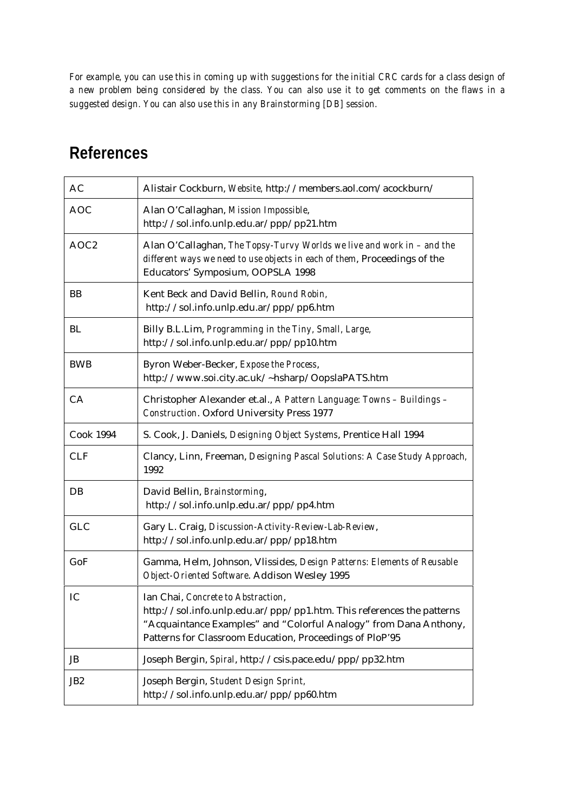*For example, you can use this in coming up with suggestions for the initial CRC cards for a class design of a new problem being considered by the class. You can also use it to get comments on the flaws in a suggested design. You can also use this in any Brainstorming [DB] session.*

## **References**

| AC               | Alistair Cockburn, Website, http://members.aol.com/acockburn/                                                                                                                                                                                |  |
|------------------|----------------------------------------------------------------------------------------------------------------------------------------------------------------------------------------------------------------------------------------------|--|
| <b>AOC</b>       | Alan O'Callaghan, Mission Impossible,<br>http://sol.info.unlp.edu.ar/ppp/pp21.htm                                                                                                                                                            |  |
| AOC <sub>2</sub> | Alan O'Callaghan, The Topsy-Turvy Worlds we live and work in - and the<br>different ways we need to use objects in each of them, Proceedings of the<br>Educators' Symposium, OOPSLA 1998                                                     |  |
| <b>BB</b>        | Kent Beck and David Bellin, Round Robin,<br>http://sol.info.unlp.edu.ar/ppp/pp6.htm                                                                                                                                                          |  |
| BL               | Billy B.L.Lim, Programming in the Tiny, Small, Large,<br>http://sol.info.unlp.edu.ar/ppp/pp10.htm                                                                                                                                            |  |
| <b>BWB</b>       | Byron Weber-Becker, Expose the Process,<br>http://www.soi.city.ac.uk/~hsharp/OopslaPATS.htm                                                                                                                                                  |  |
| CA               | Christopher Alexander et.al., A Pattern Language: Towns - Buildings -<br><b>Construction.</b> Oxford University Press 1977                                                                                                                   |  |
| <b>Cook 1994</b> | S. Cook, J. Daniels, Designing Object Systems, Prentice Hall 1994                                                                                                                                                                            |  |
| <b>CLF</b>       | Clancy, Linn, Freeman, Designing Pascal Solutions: A Case Study Approach,<br>1992                                                                                                                                                            |  |
| DB               | David Bellin, Brainstorming,<br>http://sol.info.unlp.edu.ar/ppp/pp4.htm                                                                                                                                                                      |  |
| <b>GLC</b>       | Gary L. Craig, Discussion-Activity-Review-Lab-Review,<br>http://sol.info.unlp.edu.ar/ppp/pp18.htm                                                                                                                                            |  |
| GoF              | Gamma, Helm, Johnson, Vlissides, Design Patterns: Elements of Reusable<br>Object-Oriented Software. Addison Wesley 1995                                                                                                                      |  |
| IC               | Ian Chai, Concrete to Abstraction,<br>http://sol.info.unlp.edu.ar/ppp/pp1.htm. This references the patterns<br>"Acquaintance Examples" and "Colorful Analogy" from Dana Anthony,<br>Patterns for Classroom Education, Proceedings of PloP'95 |  |
| JB               | Joseph Bergin, Spiral, http://csis.pace.edu/ppp/pp32.htm                                                                                                                                                                                     |  |
| JB <sub>2</sub>  | Joseph Bergin, Student Design Sprint,<br>http://sol.info.unlp.edu.ar/ppp/pp60.htm                                                                                                                                                            |  |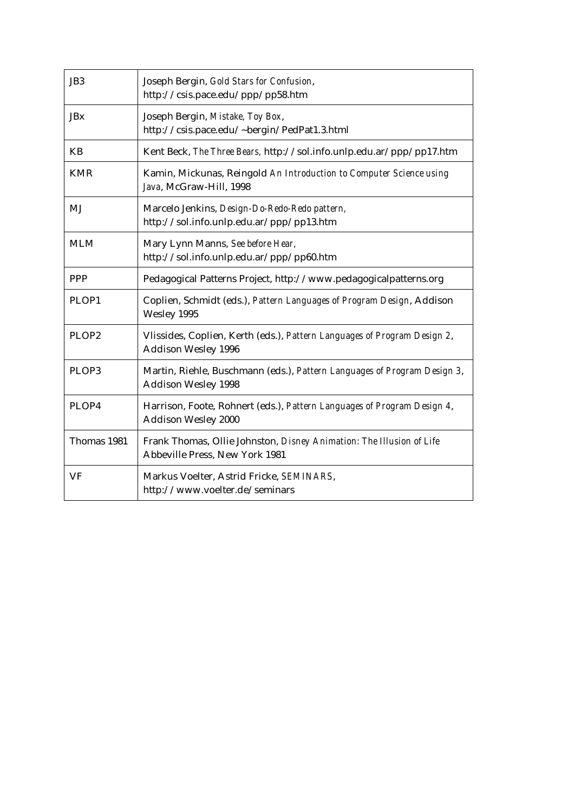| JB <sub>3</sub> | Joseph Bergin, Gold Stars for Confusion,<br>http://csis.pace.edu/ppp/pp58.htm                          |
|-----------------|--------------------------------------------------------------------------------------------------------|
| <b>JBx</b>      | Joseph Bergin, Mistake, Toy Box,<br>http://csis.pace.edu/~bergin/PedPat1.3.html                        |
| <b>KB</b>       | Kent Beck, The Three Bears, http://sol.info.unlp.edu.ar/ppp/pp17.htm                                   |
| <b>KMR</b>      | Kamin, Mickunas, Reingold An Introduction to Computer Science using<br>Java, McGraw-Hill, 1998         |
| MJ              | Marcelo Jenkins, Design-Do-Redo-Redo pattern,<br>http://sol.info.unlp.edu.ar/ppp/pp13.htm              |
| <b>MLM</b>      | Mary Lynn Manns, See before Hear,<br>http://sol.info.unlp.edu.ar/ppp/pp60.htm                          |
| <b>PPP</b>      | Pedagogical Patterns Project, http://www.pedagogicalpatterns.org                                       |
| PLOP1           | Coplien, Schmidt (eds.), Pattern Languages of Program Design, Addison<br>Wesley 1995                   |
| PLOP2           | Vlissides, Coplien, Kerth (eds.), Pattern Languages of Program Design 2,<br><b>Addison Wesley 1996</b> |
| PLOP3           | Martin, Riehle, Buschmann (eds.), Pattern Languages of Program Design 3,<br><b>Addison Wesley 1998</b> |
| PLOP4           | Harrison, Foote, Rohnert (eds.), Pattern Languages of Program Design 4,<br><b>Addison Wesley 2000</b>  |
| Thomas 1981     | Frank Thomas, Ollie Johnston, Disney Animation: The Illusion of Life<br>Abbeville Press, New York 1981 |
| VF              | Markus Voelter, Astrid Fricke, SEMINARS,<br>http://www.voelter.de/seminars                             |